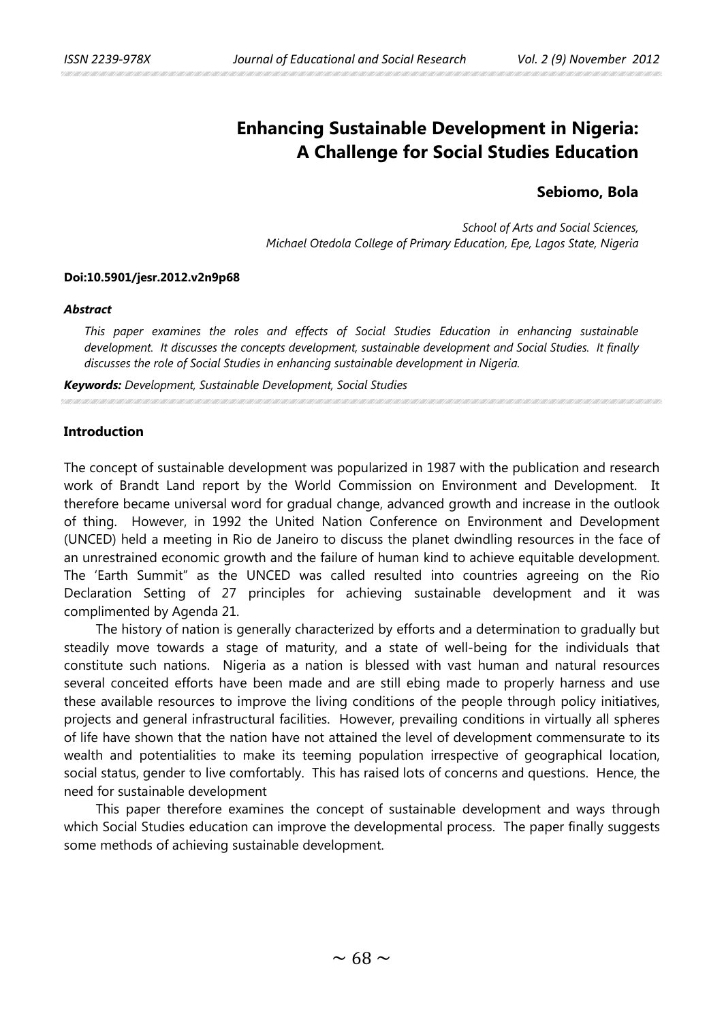# **Enhancing Sustainable Development in Nigeria: A Challenge for Social Studies Education**

## **Sebiomo, Bola**

*School of Arts and Social Sciences, Michael Otedola College of Primary Education, Epe, Lagos State, Nigeria*

## **Doi:10.5901/jesr.2012.v2n9p68**

#### *Abstract*

*This paper examines the roles and effects of Social Studies Education in enhancing sustainable development. It discusses the concepts development, sustainable development and Social Studies. It finally discusses the role of Social Studies in enhancing sustainable development in Nigeria.*

*Keywords: Development, Sustainable Development, Social Studies*

#### **Introduction**

The concept of sustainable development was popularized in 1987 with the publication and research work of Brandt Land report by the World Commission on Environment and Development. It therefore became universal word for gradual change, advanced growth and increase in the outlook of thing. However, in 1992 the United Nation Conference on Environment and Development (UNCED) held a meeting in Rio de Janeiro to discuss the planet dwindling resources in the face of an unrestrained economic growth and the failure of human kind to achieve equitable development. The 'Earth Summit" as the UNCED was called resulted into countries agreeing on the Rio Declaration Setting of 27 principles for achieving sustainable development and it was complimented by Agenda 21.

The history of nation is generally characterized by efforts and a determination to gradually but steadily move towards a stage of maturity, and a state of well-being for the individuals that constitute such nations. Nigeria as a nation is blessed with vast human and natural resources several conceited efforts have been made and are still ebing made to properly harness and use these available resources to improve the living conditions of the people through policy initiatives, projects and general infrastructural facilities. However, prevailing conditions in virtually all spheres of life have shown that the nation have not attained the level of development commensurate to its wealth and potentialities to make its teeming population irrespective of geographical location, social status, gender to live comfortably. This has raised lots of concerns and questions. Hence, the need for sustainable development

This paper therefore examines the concept of sustainable development and ways through which Social Studies education can improve the developmental process. The paper finally suggests some methods of achieving sustainable development.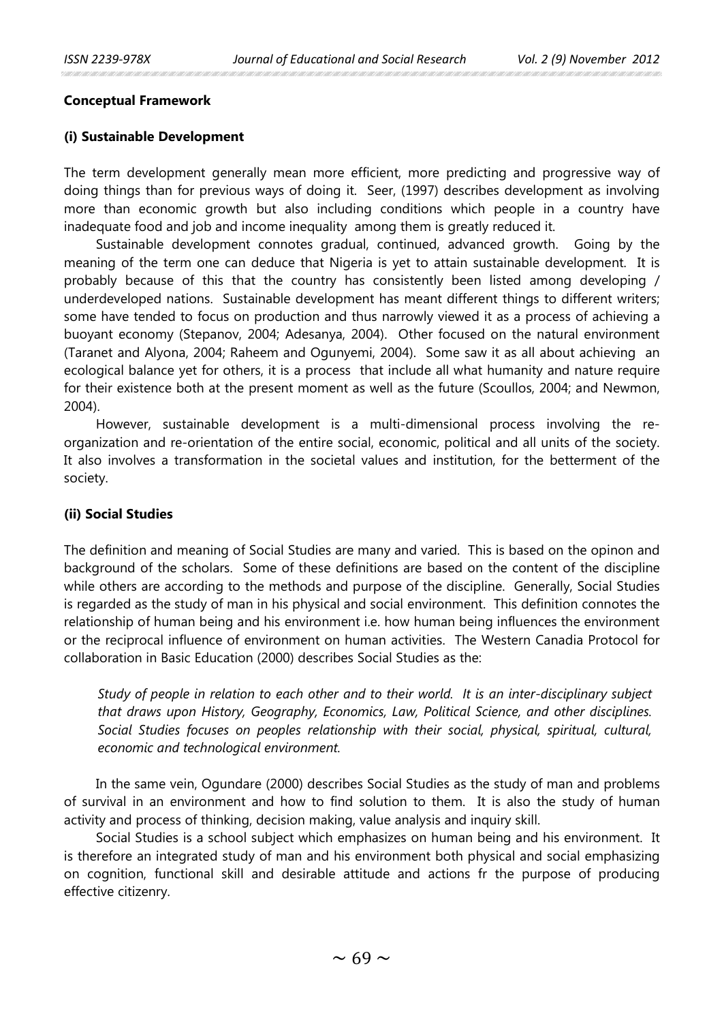## **Conceptual Framework**

## **(i) Sustainable Development**

The term development generally mean more efficient, more predicting and progressive way of doing things than for previous ways of doing it. Seer, (1997) describes development as involving more than economic growth but also including conditions which people in a country have inadequate food and job and income inequality among them is greatly reduced it.

Sustainable development connotes gradual, continued, advanced growth. Going by the meaning of the term one can deduce that Nigeria is yet to attain sustainable development. It is probably because of this that the country has consistently been listed among developing / underdeveloped nations. Sustainable development has meant different things to different writers; some have tended to focus on production and thus narrowly viewed it as a process of achieving a buoyant economy (Stepanov, 2004; Adesanya, 2004). Other focused on the natural environment (Taranet and Alyona, 2004; Raheem and Ogunyemi, 2004). Some saw it as all about achieving an ecological balance yet for others, it is a process that include all what humanity and nature require for their existence both at the present moment as well as the future (Scoullos, 2004; and Newmon, 2004).

However, sustainable development is a multi-dimensional process involving the reorganization and re-orientation of the entire social, economic, political and all units of the society. It also involves a transformation in the societal values and institution, for the betterment of the society.

## **(ii) Social Studies**

The definition and meaning of Social Studies are many and varied. This is based on the opinon and background of the scholars. Some of these definitions are based on the content of the discipline while others are according to the methods and purpose of the discipline. Generally, Social Studies is regarded as the study of man in his physical and social environment. This definition connotes the relationship of human being and his environment i.e. how human being influences the environment or the reciprocal influence of environment on human activities. The Western Canadia Protocol for collaboration in Basic Education (2000) describes Social Studies as the:

*Study of people in relation to each other and to their world. It is an inter-disciplinary subject that draws upon History, Geography, Economics, Law, Political Science, and other disciplines. Social Studies focuses on peoples relationship with their social, physical, spiritual, cultural, economic and technological environment.*

In the same vein, Ogundare (2000) describes Social Studies as the study of man and problems of survival in an environment and how to find solution to them. It is also the study of human activity and process of thinking, decision making, value analysis and inquiry skill.

Social Studies is a school subject which emphasizes on human being and his environment. It is therefore an integrated study of man and his environment both physical and social emphasizing on cognition, functional skill and desirable attitude and actions fr the purpose of producing effective citizenry.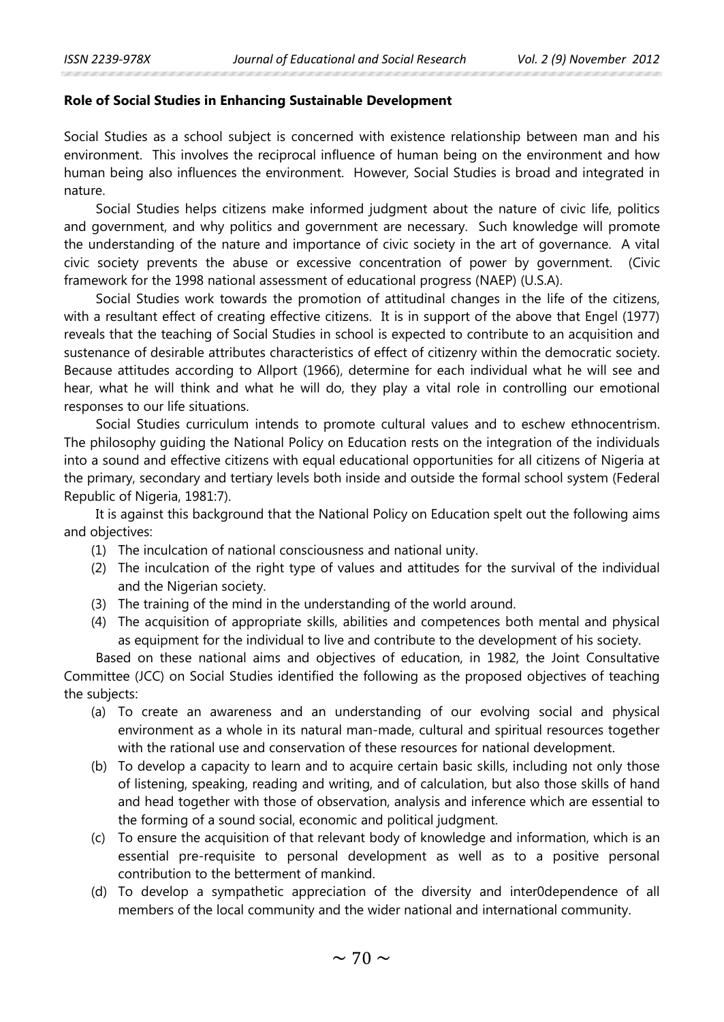## **Role of Social Studies in Enhancing Sustainable Development**

Social Studies as a school subject is concerned with existence relationship between man and his environment. This involves the reciprocal influence of human being on the environment and how human being also influences the environment. However, Social Studies is broad and integrated in nature.

Social Studies helps citizens make informed judgment about the nature of civic life, politics and government, and why politics and government are necessary. Such knowledge will promote the understanding of the nature and importance of civic society in the art of governance. A vital civic society prevents the abuse or excessive concentration of power by government. (Civic framework for the 1998 national assessment of educational progress (NAEP) (U.S.A).

Social Studies work towards the promotion of attitudinal changes in the life of the citizens, with a resultant effect of creating effective citizens. It is in support of the above that Engel (1977) reveals that the teaching of Social Studies in school is expected to contribute to an acquisition and sustenance of desirable attributes characteristics of effect of citizenry within the democratic society. Because attitudes according to Allport (1966), determine for each individual what he will see and hear, what he will think and what he will do, they play a vital role in controlling our emotional responses to our life situations.

Social Studies curriculum intends to promote cultural values and to eschew ethnocentrism. The philosophy guiding the National Policy on Education rests on the integration of the individuals into a sound and effective citizens with equal educational opportunities for all citizens of Nigeria at the primary, secondary and tertiary levels both inside and outside the formal school system (Federal Republic of Nigeria, 1981:7).

It is against this background that the National Policy on Education spelt out the following aims and objectives:

- (1) The inculcation of national consciousness and national unity.
- (2) The inculcation of the right type of values and attitudes for the survival of the individual and the Nigerian society.
- (3) The training of the mind in the understanding of the world around.
- (4) The acquisition of appropriate skills, abilities and competences both mental and physical as equipment for the individual to live and contribute to the development of his society.

Based on these national aims and objectives of education, in 1982, the Joint Consultative Committee (JCC) on Social Studies identified the following as the proposed objectives of teaching the subjects:

- (a) To create an awareness and an understanding of our evolving social and physical environment as a whole in its natural man-made, cultural and spiritual resources together with the rational use and conservation of these resources for national development.
- (b) To develop a capacity to learn and to acquire certain basic skills, including not only those of listening, speaking, reading and writing, and of calculation, but also those skills of hand and head together with those of observation, analysis and inference which are essential to the forming of a sound social, economic and political judgment.
- (c) To ensure the acquisition of that relevant body of knowledge and information, which is an essential pre-requisite to personal development as well as to a positive personal contribution to the betterment of mankind.
- (d) To develop a sympathetic appreciation of the diversity and inter0dependence of all members of the local community and the wider national and international community.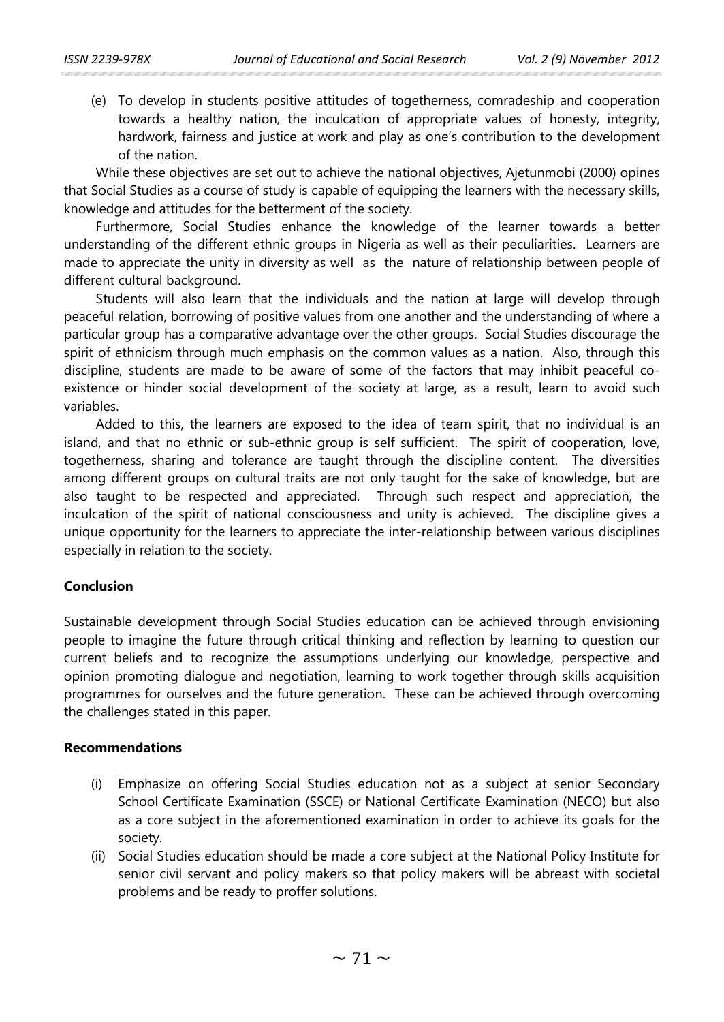(e) To develop in students positive attitudes of togetherness, comradeship and cooperation towards a healthy nation, the inculcation of appropriate values of honesty, integrity, hardwork, fairness and justice at work and play as one's contribution to the development of the nation.

While these objectives are set out to achieve the national objectives, Ajetunmobi (2000) opines that Social Studies as a course of study is capable of equipping the learners with the necessary skills, knowledge and attitudes for the betterment of the society.

Furthermore, Social Studies enhance the knowledge of the learner towards a better understanding of the different ethnic groups in Nigeria as well as their peculiarities. Learners are made to appreciate the unity in diversity as well as the nature of relationship between people of different cultural background.

Students will also learn that the individuals and the nation at large will develop through peaceful relation, borrowing of positive values from one another and the understanding of where a particular group has a comparative advantage over the other groups. Social Studies discourage the spirit of ethnicism through much emphasis on the common values as a nation. Also, through this discipline, students are made to be aware of some of the factors that may inhibit peaceful coexistence or hinder social development of the society at large, as a result, learn to avoid such variables.

Added to this, the learners are exposed to the idea of team spirit, that no individual is an island, and that no ethnic or sub-ethnic group is self sufficient. The spirit of cooperation, love, togetherness, sharing and tolerance are taught through the discipline content. The diversities among different groups on cultural traits are not only taught for the sake of knowledge, but are also taught to be respected and appreciated. Through such respect and appreciation, the inculcation of the spirit of national consciousness and unity is achieved. The discipline gives a unique opportunity for the learners to appreciate the inter-relationship between various disciplines especially in relation to the society.

## **Conclusion**

Sustainable development through Social Studies education can be achieved through envisioning people to imagine the future through critical thinking and reflection by learning to question our current beliefs and to recognize the assumptions underlying our knowledge, perspective and opinion promoting dialogue and negotiation, learning to work together through skills acquisition programmes for ourselves and the future generation. These can be achieved through overcoming the challenges stated in this paper.

## **Recommendations**

- (i) Emphasize on offering Social Studies education not as a subject at senior Secondary School Certificate Examination (SSCE) or National Certificate Examination (NECO) but also as a core subject in the aforementioned examination in order to achieve its goals for the society.
- (ii) Social Studies education should be made a core subject at the National Policy Institute for senior civil servant and policy makers so that policy makers will be abreast with societal problems and be ready to proffer solutions.